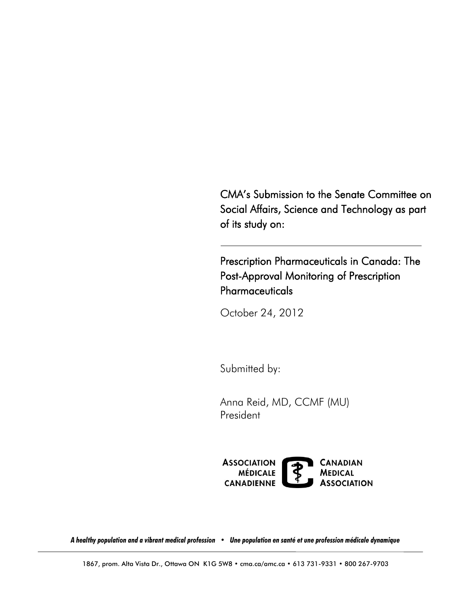CMA's Submission to the Senate Committee on Social Affairs, Science and Technology as part of its study on:

 Pharmaceuticals Prescription Pharmaceuticals in Canada: The Post-Approval Monitoring of Prescription

October 24, 2012

Submitted by:

 Anna Reid, MD, CCMF (MU) President



 *A healthy population and a vibrant medical profession • Une population en santé et une profession médicale dynamique*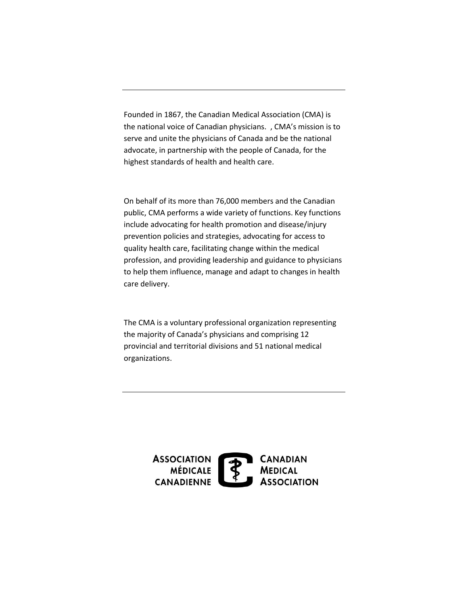Founded in 1867, the Canadian Medical Association (CMA) is the national voice of Canadian physicians. , CMA's mission is to serve and unite the physicians of Canada and be the national advocate, in partnership with the people of Canada, for the highest standards of health and health care.

On behalf of its more than 76,000 members and the Canadian public, CMA performs a wide variety of functions. Key functions include advocating for health promotion and disease/injury prevention policies and strategies, advocating for access to quality health care, facilitating change within the medical profession, and providing leadership and guidance to physicians to help them influence, manage and adapt to changes in health care delivery.

The CMA is a voluntary professional organization representing the majority of Canada's physicians and comprising 12 provincial and territorial divisions and 51 national medical organizations.

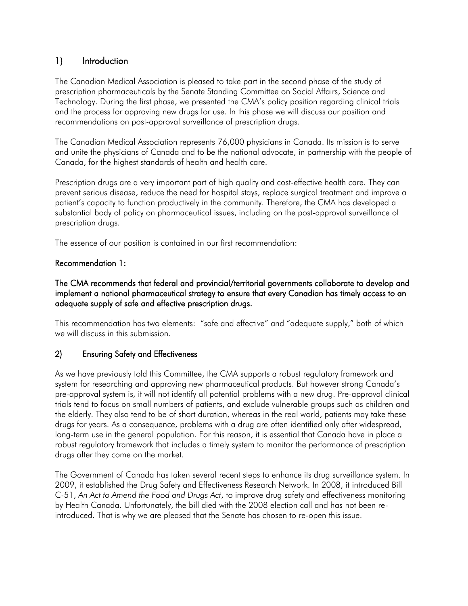# 1) Introduction

 The Canadian Medical Association is pleased to take part in the second phase of the study of prescription pharmaceuticals by the Senate Standing Committee on Social Affairs, Science and Technology. During the first phase, we presented the CMA's policy position regarding clinical trials and the process for approving new drugs for use. In this phase we will discuss our position and recommendations on post-approval surveillance of prescription drugs.

 The Canadian Medical Association represents 76,000 physicians in Canada. Its mission is to serve and unite the physicians of Canada and to be the national advocate, in partnership with the people of Canada, for the highest standards of health and health care.

 Prescription drugs are a very important part of high quality and cost-effective health care. They can prevent serious disease, reduce the need for hospital stays, replace surgical treatment and improve a patient's capacity to function productively in the community. Therefore, the CMA has developed a substantial body of policy on pharmaceutical issues, including on the post-approval surveillance of prescription drugs.

The essence of our position is contained in our first recommendation:

### Recommendation 1:

### The CMA recommends that federal and provincial/territorial governments collaborate to develop and implement a national pharmaceutical strategy to ensure that every Canadian has timely access to an adequate supply of safe and effective prescription drugs.

 This recommendation has two elements: "safe and effective" and "adequate supply," both of which we will discuss in this submission.

## 2) Ensuring Safety and Effectiveness

 As we have previously told this Committee, the CMA supports a robust regulatory framework and system for researching and approving new pharmaceutical products. But however strong Canada's pre-approval system is, it will not identify all potential problems with a new drug. Pre-approval clinical trials tend to focus on small numbers of patients, and exclude vulnerable groups such as children and the elderly. They also tend to be of short duration, whereas in the real world, patients may take these drugs for years. As a consequence, problems with a drug are often identified only after widespread, long-term use in the general population. For this reason, it is essential that Canada have in place a robust regulatory framework that includes a timely system to monitor the performance of prescription drugs after they come on the market.

 The Government of Canada has taken several recent steps to enhance its drug surveillance system. In 2009, it established the Drug Safety and Effectiveness Research Network. In 2008, it introduced Bill C-51, *An Act to Amend the Food and Drugs Act*, to improve drug safety and effectiveness monitoring by Health Canada. Unfortunately, the bill died with the 2008 election call and has not been re-introduced. That is why we are pleased that the Senate has chosen to re-open this issue.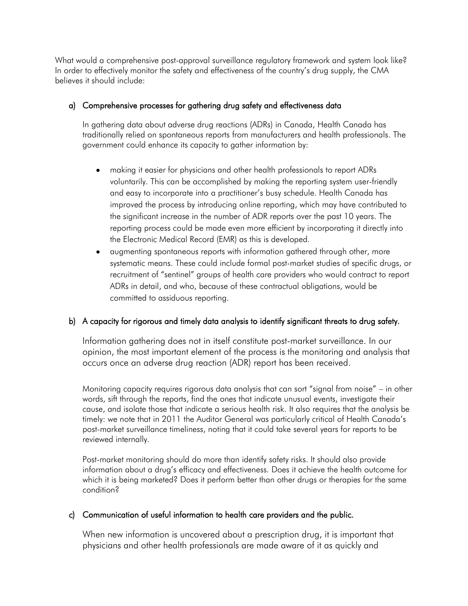What would a comprehensive post-approval surveillance regulatory framework and system look like? In order to effectively monitor the safety and effectiveness of the country's drug supply, the CMA believes it should include:

## a) Comprehensive processes for gathering drug safety and effectiveness data

 In gathering data about adverse drug reactions (ADRs) in Canada, Health Canada has traditionally relied on spontaneous reports from manufacturers and health professionals. The government could enhance its capacity to gather information by:

- making it easier for physicians and other health professionals to report ADRs voluntarily. This can be accomplished by making the reporting system user-friendly and easy to incorporate into a practitioner's busy schedule. Health Canada has improved the process by introducing online reporting, which may have contributed to the significant increase in the number of ADR reports over the past 10 years. The reporting process could be made even more efficient by incorporating it directly into the Electronic Medical Record (EMR) as this is developed.
- $\bullet$ augmenting spontaneous reports with information gathered through other, more systematic means. These could include formal post-market studies of specific drugs, or recruitment of "sentinel" groups of health care providers who would contract to report ADRs in detail, and who, because of these contractual obligations, would be committed to assiduous reporting.

## b) A capacity for rigorous and timely data analysis to identify significant threats to drug safety.

Information gathering does not in itself constitute post-market surveillance. In our opinion, the most important element of the process is the monitoring and analysis that occurs once an adverse drug reaction (ADR) report has been received.

Monitoring capacity requires rigorous data analysis that can sort "signal from noise" – in other words, sift through the reports, find the ones that indicate unusual events, investigate their cause, and isolate those that indicate a serious health risk. It also requires that the analysis be timely: we note that in 2011 the Auditor General was particularly critical of Health Canada's post-market surveillance timeliness, noting that it could take several years for reports to be reviewed internally.

Post-market monitoring should do more than identify safety risks. It should also provide information about a drug's efficacy and effectiveness. Does it achieve the health outcome for which it is being marketed? Does it perform better than other drugs or therapies for the same condition?

## c) Communication of useful information to health care providers and the public.

When new information is uncovered about a prescription drug, it is important that physicians and other health professionals are made aware of it as quickly and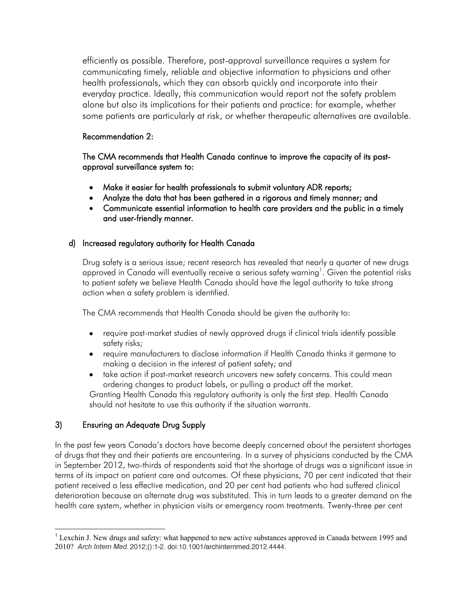health professionals, which they can absorb quickly and incorporate into their alone but also its implications for their patients and practice: for example, whether efficiently as possible. Therefore, post-approval surveillance requires a system for communicating timely, reliable and objective information to physicians and other everyday practice. Ideally, this communication would report not the safety problem some patients are particularly at risk, or whether therapeutic alternatives are available.

## Recommendation 2:

 The CMA recommends that Health Canada continue to improve the capacity of its post-approval surveillance system to:

- Make it easier for health professionals to submit voluntary ADR reports;  $\bullet$
- Analyze the data that has been gathered in a rigorous and timely manner; and
- Communicate essential information to health care providers and the public in a timely and user-friendly manner.

## d) Increased regulatory authority for Health Canada

 Drug safety is a serious issue; recent research has revealed that nearly a quarter of new drugs to patient safety we believe Health Canada should have the legal authority to take strong action when a safety problem is identified. approved in Canada will eventually receive a serious safety warning<sup>1</sup>. Given the potential risks

The CMA recommends that Health Canada should be given the authority to:

- require post-market studies of newly approved drugs if clinical trials identify possible safety risks;
- require manufacturers to disclose information if Health Canada thinks it germane to making a decision in the interest of patient safety; and
- take action if post-market research uncovers new safety concerns. This could mean ordering changes to product labels, or pulling a product off the market.

 Granting Health Canada this regulatory authority is only the first step. Health Canada should not hesitate to use this authority if the situation warrants.

## 3) Ensuring an Adequate Drug Supply

 In the past few years Canada's doctors have become deeply concerned about the persistent shortages of drugs that they and their patients are encountering. In a survey of physicians conducted by the CMA in September 2012, two-thirds of respondents said that the shortage of drugs was a significant issue in terms of its impact on patient care and outcomes. Of these physicians, 70 per cent indicated that their patient received a less effective medication, and 20 per cent had patients who had suffered clinical deterioration because an alternate drug was substituted. This in turn leads to a greater demand on the health care system, whether in physician visits or emergency room treatments. Twenty-three per cent

 $\overline{a}$  $1$  Lexchin J. New drugs and safety: what happened to new active substances approved in Canada between 1995 and 2010?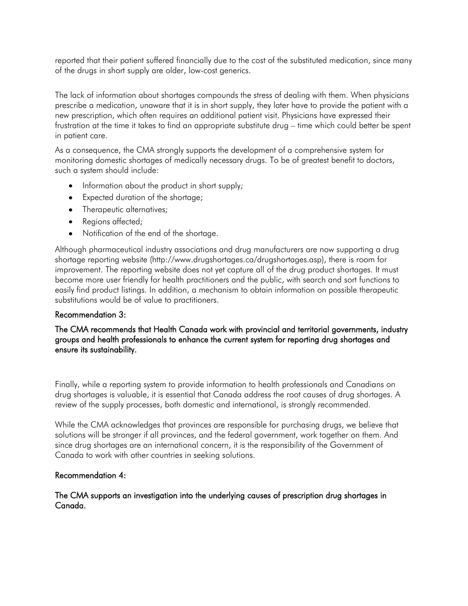reported that their patient suffered financially due to the cost of the substituted medication, since many of the drugs in short supply are older, low-cost generics.

 The lack of information about shortages compounds the stress of dealing with them. When physicians prescribe a medication, unaware that it is in short supply, they later have to provide the patient with a new prescription, which often requires an additional patient visit. Physicians have expressed their frustration at the time it takes to find an appropriate substitute drug – time which could better be spent in patient care.

 As a consequence, the CMA strongly supports the development of a comprehensive system for monitoring domestic shortages of medically necessary drugs. To be of greatest benefit to doctors, such a system should include:

- Information about the product in short supply;
- Expected duration of the shortage;
- Therapeutic alternatives;
- Regions affected;
- Notification of the end of the shortage.

 Although pharmaceutical industry associations and drug manufacturers are now supporting a drug shortage reporting website (http://www.drugshortages.ca/drugshortages.asp), there is room for improvement. The reporting website does not yet capture all of the drug product shortages. It must become more user friendly for health practitioners and the public, with search and sort functions to easily find product listings. In addition, a mechanism to obtain information on possible therapeutic substitutions would be of value to practitioners.

### Recommendation 3:

### The CMA recommends that Health Canada work with provincial and territorial governments, industry groups and health professionals to enhance the current system for reporting drug shortages and ensure its sustainability.

 Finally, while a reporting system to provide information to health professionals and Canadians on drug shortages is valuable, it is essential that Canada address the root causes of drug shortages. A review of the supply processes, both domestic and international, is strongly recommended.

 While the CMA acknowledges that provinces are responsible for purchasing drugs, we believe that solutions will be stronger if all provinces, and the federal government, work together on them. And since drug shortages are an international concern, it is the responsibility of the Government of Canada to work with other countries in seeking solutions.

### Recommendation 4:

 The CMA supports an investigation into the underlying causes of prescription drug shortages in Canada.